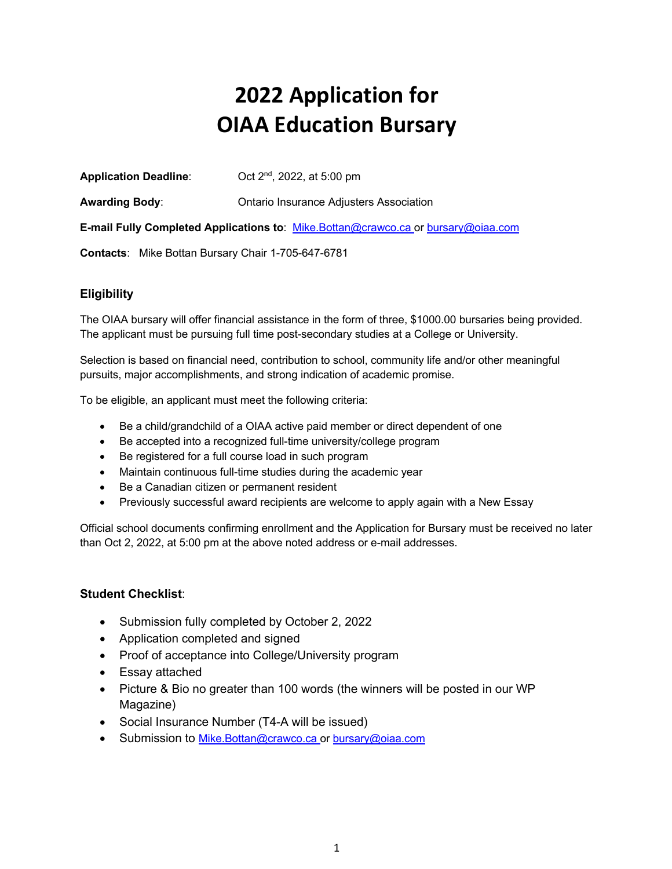# **2022 Application for OIAA Education Bursary**

| <b>Application Deadline:</b>                                                      | Oct 2 <sup>nd</sup> , 2022, at 5:00 pm  |
|-----------------------------------------------------------------------------------|-----------------------------------------|
| Awarding Body:                                                                    | Ontario Insurance Adjusters Association |
| E-mail Fully Completed Applications to: Mike.Bottan@crawco.ca or bursary@oiaa.com |                                         |
| Contacts: Mike Bottan Bursary Chair 1-705-647-6781                                |                                         |

#### **Eligibility**

The OIAA bursary will offer financial assistance in the form of three, \$1000.00 bursaries being provided. The applicant must be pursuing full time post-secondary studies at a College or University.

Selection is based on financial need, contribution to school, community life and/or other meaningful pursuits, major accomplishments, and strong indication of academic promise.

To be eligible, an applicant must meet the following criteria:

- Be a child/grandchild of a OIAA active paid member or direct dependent of one
- Be accepted into a recognized full-time university/college program
- Be registered for a full course load in such program
- Maintain continuous full-time studies during the academic year
- Be a Canadian citizen or permanent resident
- Previously successful award recipients are welcome to apply again with a New Essay

Official school documents confirming enrollment and the Application for Bursary must be received no later than Oct 2, 2022, at 5:00 pm at the above noted address or e-mail addresses.

#### **Student Checklist**:

- Submission fully completed by October 2, 2022
- Application completed and signed
- Proof of acceptance into College/University program
- Essay attached
- Picture & Bio no greater than 100 words (the winners will be posted in our WP Magazine)
- Social Insurance Number (T4-A will be issued)
- Submission to Mike.Bottan@crawco.ca or bursary@oiaa.com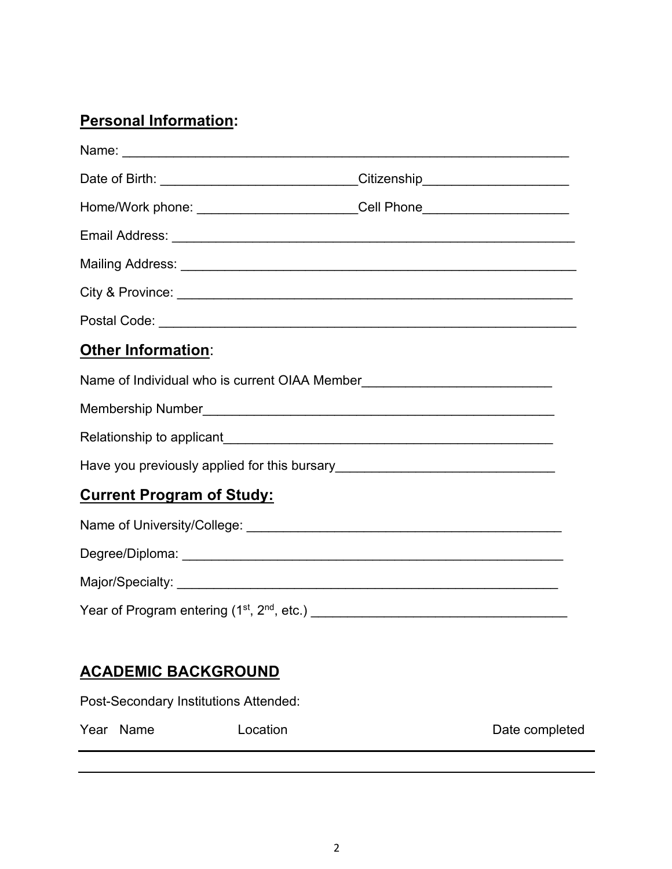### **Personal Information:**

|                                  | Date of Birth: _____________________________Citizenship_________________________ |  |
|----------------------------------|----------------------------------------------------------------------------------|--|
|                                  | Home/Work phone: ______________________________Cell Phone_______________________ |  |
|                                  |                                                                                  |  |
|                                  |                                                                                  |  |
|                                  |                                                                                  |  |
|                                  |                                                                                  |  |
| <b>Other Information:</b>        |                                                                                  |  |
|                                  |                                                                                  |  |
|                                  |                                                                                  |  |
|                                  |                                                                                  |  |
|                                  |                                                                                  |  |
| <b>Current Program of Study:</b> |                                                                                  |  |
|                                  |                                                                                  |  |
|                                  |                                                                                  |  |
|                                  |                                                                                  |  |
|                                  |                                                                                  |  |
|                                  |                                                                                  |  |
| <b>ACADEMIC BACKGROUND</b>       |                                                                                  |  |

Post-Secondary Institutions Attended:

Year Name **Location Location Date completed**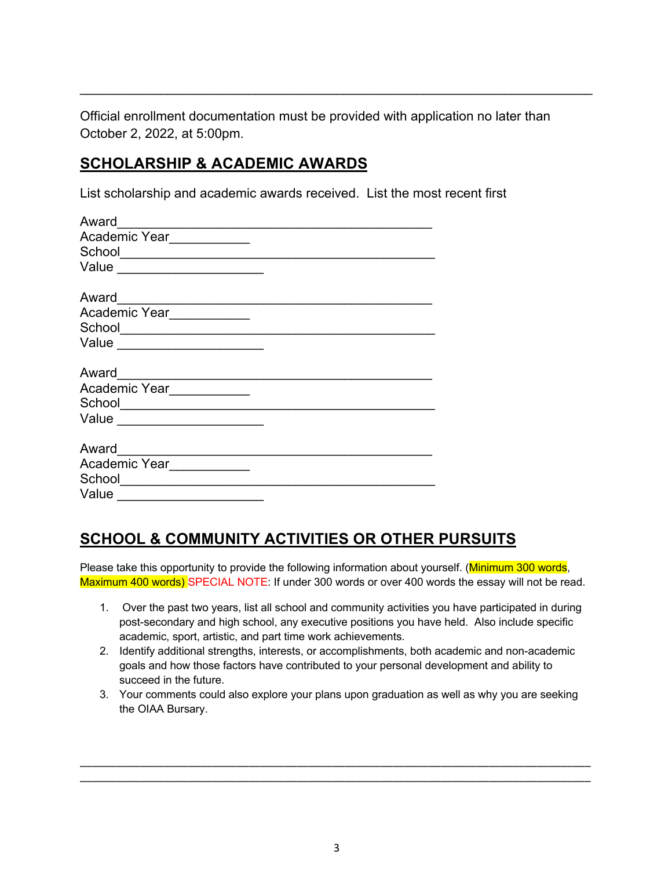Official enrollment documentation must be provided with application no later than October 2, 2022, at 5:00pm.

\_\_\_\_\_\_\_\_\_\_\_\_\_\_\_\_\_\_\_\_\_\_\_\_\_\_\_\_\_\_\_\_\_\_\_\_\_\_\_\_\_\_\_\_\_\_\_\_\_\_\_\_\_\_\_\_\_\_\_\_\_\_\_\_\_\_\_\_\_\_

#### **SCHOLARSHIP & ACADEMIC AWARDS**

List scholarship and academic awards received. List the most recent first

| Award                                                                                                                                                                                                                                                                                                                                                                                                                                   |
|-----------------------------------------------------------------------------------------------------------------------------------------------------------------------------------------------------------------------------------------------------------------------------------------------------------------------------------------------------------------------------------------------------------------------------------------|
| Academic Year<br>$\begin{tabular}{ccccc} \multicolumn{2}{c }{\textbf{1} & \textbf{2} & \textbf{3} & \textbf{4} & \textbf{5} & \textbf{5} & \textbf{6} & \textbf{6} & \textbf{7} & \textbf{8} & \textbf{8} & \textbf{9} & \textbf{10} & \textbf{10} & \textbf{10} & \textbf{10} & \textbf{10} & \textbf{10} & \textbf{10} & \textbf{10} & \textbf{10} & \textbf{10} & \textbf{10} & \textbf{10} & \textbf{10} & \textbf{10} & \textbf{1$ |
| School<br><u> 1989 - Johann Barbara, martxa alemaniar a</u>                                                                                                                                                                                                                                                                                                                                                                             |
| Value                                                                                                                                                                                                                                                                                                                                                                                                                                   |
|                                                                                                                                                                                                                                                                                                                                                                                                                                         |
| Award<br>the control of the control of the control of                                                                                                                                                                                                                                                                                                                                                                                   |
| Academic Year                                                                                                                                                                                                                                                                                                                                                                                                                           |
|                                                                                                                                                                                                                                                                                                                                                                                                                                         |
| Value                                                                                                                                                                                                                                                                                                                                                                                                                                   |
|                                                                                                                                                                                                                                                                                                                                                                                                                                         |
| Award                                                                                                                                                                                                                                                                                                                                                                                                                                   |
| Academic Year                                                                                                                                                                                                                                                                                                                                                                                                                           |
| School___________________________                                                                                                                                                                                                                                                                                                                                                                                                       |
| Value<br><u> 1989 - Johann Harry Barn, mars ar breist fan de Fryske kommunent fan de Fryske kommunent fan de Fryske kommun</u>                                                                                                                                                                                                                                                                                                          |
|                                                                                                                                                                                                                                                                                                                                                                                                                                         |
| Award                                                                                                                                                                                                                                                                                                                                                                                                                                   |
| Academic Year                                                                                                                                                                                                                                                                                                                                                                                                                           |
| School<br><u> 1989 - Johann Barbara, martxa alemani</u> ar a                                                                                                                                                                                                                                                                                                                                                                            |
| Value                                                                                                                                                                                                                                                                                                                                                                                                                                   |

## **SCHOOL & COMMUNITY ACTIVITIES OR OTHER PURSUITS**

Please take this opportunity to provide the following information about yourself. (Minimum 300 words, Maximum 400 words) SPECIAL NOTE: If under 300 words or over 400 words the essay will not be read.

- 1. Over the past two years, list all school and community activities you have participated in during post-secondary and high school, any executive positions you have held. Also include specific academic, sport, artistic, and part time work achievements.
- 2. Identify additional strengths, interests, or accomplishments, both academic and non-academic goals and how those factors have contributed to your personal development and ability to succeed in the future.
- 3. Your comments could also explore your plans upon graduation as well as why you are seeking the OIAA Bursary.

\_\_\_\_\_\_\_\_\_\_\_\_\_\_\_\_\_\_\_\_\_\_\_\_\_\_\_\_\_\_\_\_\_\_\_\_\_\_\_\_\_\_\_\_\_\_\_\_\_\_\_\_\_\_\_\_\_\_\_\_\_\_\_\_\_\_\_\_\_\_\_\_\_\_\_\_\_\_\_\_\_\_\_\_\_ \_\_\_\_\_\_\_\_\_\_\_\_\_\_\_\_\_\_\_\_\_\_\_\_\_\_\_\_\_\_\_\_\_\_\_\_\_\_\_\_\_\_\_\_\_\_\_\_\_\_\_\_\_\_\_\_\_\_\_\_\_\_\_\_\_\_\_\_\_\_\_\_\_\_\_\_\_\_\_\_\_\_\_\_\_